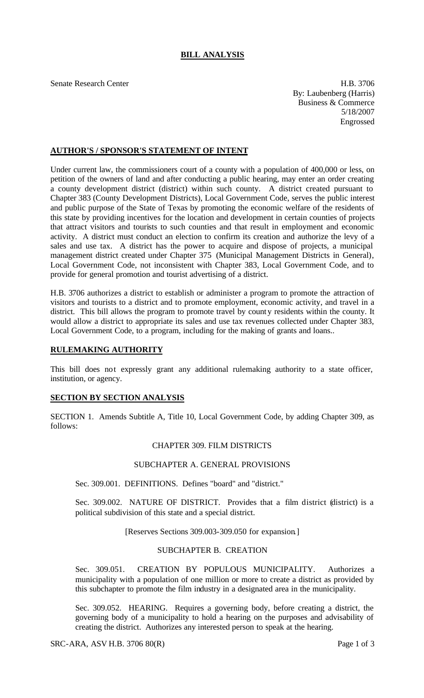# **BILL ANALYSIS**

Senate Research Center **H.B. 3706** By: Laubenberg (Harris) Business & Commerce 5/18/2007 Engrossed

# **AUTHOR'S / SPONSOR'S STATEMENT OF INTENT**

Under current law, the commissioners court of a county with a population of 400,000 or less, on petition of the owners of land and after conducting a public hearing, may enter an order creating a county development district (district) within such county. A district created pursuant to Chapter 383 (County Development Districts), Local Government Code, serves the public interest and public purpose of the State of Texas by promoting the economic welfare of the residents of this state by providing incentives for the location and development in certain counties of projects that attract visitors and tourists to such counties and that result in employment and economic activity. A district must conduct an election to confirm its creation and authorize the levy of a sales and use tax. A district has the power to acquire and dispose of projects, a municipal management district created under Chapter 375 (Municipal Management Districts in General), Local Government Code, not inconsistent with Chapter 383, Local Government Code, and to provide for general promotion and tourist advertising of a district.

H.B. 3706 authorizes a district to establish or administer a program to promote the attraction of visitors and tourists to a district and to promote employment, economic activity, and travel in a district. This bill allows the program to promote travel by county residents within the county. It would allow a district to appropriate its sales and use tax revenues collected under Chapter 383, Local Government Code, to a program, including for the making of grants and loans..

### **RULEMAKING AUTHORITY**

This bill does not expressly grant any additional rulemaking authority to a state officer, institution, or agency.

## **SECTION BY SECTION ANALYSIS**

SECTION 1. Amends Subtitle A, Title 10, Local Government Code, by adding Chapter 309, as follows:

#### CHAPTER 309. FILM DISTRICTS

#### SUBCHAPTER A. GENERAL PROVISIONS

Sec. 309.001. DEFINITIONS. Defines "board" and "district."

Sec. 309.002. NATURE OF DISTRICT. Provides that a film district (district) is a political subdivision of this state and a special district.

[Reserves Sections 309.003-309.050 for expansion]

## SUBCHAPTER B. CREATION

Sec. 309.051. CREATION BY POPULOUS MUNICIPALITY. Authorizes a municipality with a population of one million or more to create a district as provided by this subchapter to promote the film industry in a designated area in the municipality.

Sec. 309.052. HEARING. Requires a governing body, before creating a district, the governing body of a municipality to hold a hearing on the purposes and advisability of creating the district. Authorizes any interested person to speak at the hearing.

SRC-ARA, ASV H.B. 3706 80(R) Page 1 of 3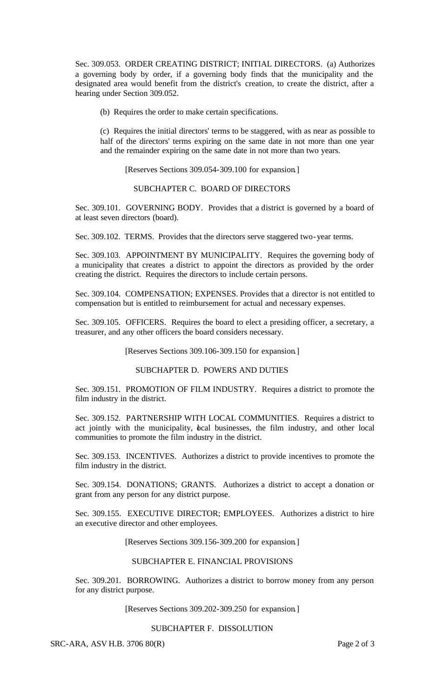Sec. 309.053. ORDER CREATING DISTRICT; INITIAL DIRECTORS. (a) Authorizes a governing body by order, if a governing body finds that the municipality and the designated area would benefit from the district's creation, to create the district, after a hearing under Section 309.052.

(b) Requires the order to make certain specifications.

(c) Requires the initial directors' terms to be staggered, with as near as possible to half of the directors' terms expiring on the same date in not more than one year and the remainder expiring on the same date in not more than two years.

[Reserves Sections 309.054-309.100 for expansion.]

### SUBCHAPTER C. BOARD OF DIRECTORS

Sec. 309.101. GOVERNING BODY. Provides that a district is governed by a board of at least seven directors (board).

Sec. 309.102. TERMS. Provides that the directors serve staggered two-year terms.

Sec. 309.103. APPOINTMENT BY MUNICIPALITY. Requires the governing body of a municipality that creates a district to appoint the directors as provided by the order creating the district. Requires the directors to include certain persons.

Sec. 309.104. COMPENSATION; EXPENSES. Provides that a director is not entitled to compensation but is entitled to reimbursement for actual and necessary expenses.

Sec. 309.105. OFFICERS. Requires the board to elect a presiding officer, a secretary, a treasurer, and any other officers the board considers necessary.

[Reserves Sections 309.106-309.150 for expansion.]

SUBCHAPTER D. POWERS AND DUTIES

Sec. 309.151. PROMOTION OF FILM INDUSTRY. Requires a district to promote the film industry in the district.

Sec. 309.152. PARTNERSHIP WITH LOCAL COMMUNITIES. Requires a district to act jointly with the municipality, bcal businesses, the film industry, and other local communities to promote the film industry in the district.

Sec. 309.153. INCENTIVES. Authorizes a district to provide incentives to promote the film industry in the district.

Sec. 309.154. DONATIONS; GRANTS. Authorizes a district to accept a donation or grant from any person for any district purpose.

Sec. 309.155. EXECUTIVE DIRECTOR; EMPLOYEES. Authorizes a district to hire an executive director and other employees.

[Reserves Sections 309.156-309.200 for expansion.]

# SUBCHAPTER E. FINANCIAL PROVISIONS

Sec. 309.201. BORROWING. Authorizes a district to borrow money from any person for any district purpose.

[Reserves Sections 309.202-309.250 for expansion.]

### SUBCHAPTER F. DISSOLUTION